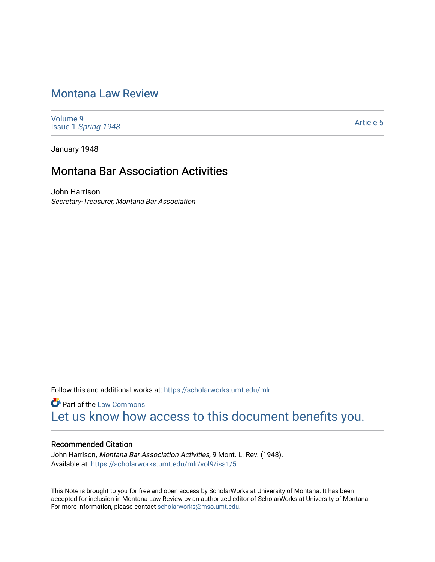# [Montana Law Review](https://scholarworks.umt.edu/mlr)

[Volume 9](https://scholarworks.umt.edu/mlr/vol9) Issue 1 [Spring 1948](https://scholarworks.umt.edu/mlr/vol9/iss1) 

[Article 5](https://scholarworks.umt.edu/mlr/vol9/iss1/5) 

January 1948

## Montana Bar Association Activities

John Harrison Secretary-Treasurer, Montana Bar Association

Follow this and additional works at: [https://scholarworks.umt.edu/mlr](https://scholarworks.umt.edu/mlr?utm_source=scholarworks.umt.edu%2Fmlr%2Fvol9%2Fiss1%2F5&utm_medium=PDF&utm_campaign=PDFCoverPages) 

**Part of the [Law Commons](http://network.bepress.com/hgg/discipline/578?utm_source=scholarworks.umt.edu%2Fmlr%2Fvol9%2Fiss1%2F5&utm_medium=PDF&utm_campaign=PDFCoverPages)** [Let us know how access to this document benefits you.](https://goo.gl/forms/s2rGfXOLzz71qgsB2) 

## Recommended Citation

John Harrison, Montana Bar Association Activities, 9 Mont. L. Rev. (1948). Available at: [https://scholarworks.umt.edu/mlr/vol9/iss1/5](https://scholarworks.umt.edu/mlr/vol9/iss1/5?utm_source=scholarworks.umt.edu%2Fmlr%2Fvol9%2Fiss1%2F5&utm_medium=PDF&utm_campaign=PDFCoverPages)

This Note is brought to you for free and open access by ScholarWorks at University of Montana. It has been accepted for inclusion in Montana Law Review by an authorized editor of ScholarWorks at University of Montana. For more information, please contact [scholarworks@mso.umt.edu.](mailto:scholarworks@mso.umt.edu)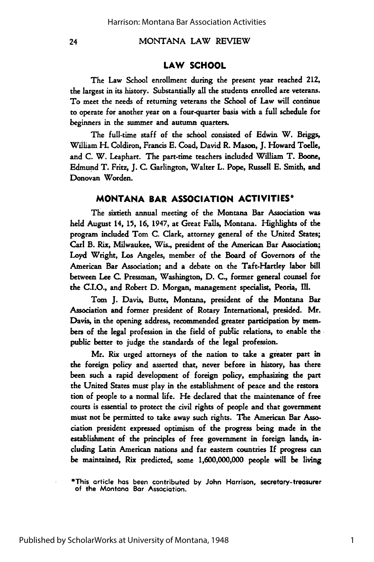24

MONTANA LAW REVIEW

## **LAW SCHOOL**

The Law School enrollment during the present year reached 212, the largest in its history. Substantially all the students enrolled are veterans. To meet the needs of returning veterans the School of Law **will** continue to operate for another year on a four-quarter basis with a full schedule for beginners in the summer and autumn quarters.

The full-time staff of the school consisted of Edwin W. Briggs, William H. Coldiron, Francis **E.** Coad, David R. Mason, **J.** Howard **Toelle,** and **C.** W. Leaphart. The part-time teachers included William T. Boone, Edmund T. Fritz, **J. C.** Garlington, Walter L. Pope, Russell **E.** Smith, and Donovan Worden.

### **MONTANA BAR ASSOCIATION ACTIVITIES\***

The sixtieth annual meeting of the Montana Bar Association was held August 14, 15, **16,** 1947, at Great Falls, Montana. Highlights of the program included Tom C. Clark, attorney general of the United States; Carl B. Rix, Milwaukee, Wis., president of the American Bar Association; Loyd Wright, Los Angeles, member of the Board of Governors of the American Bar Association; and a debate on the Taft-Hartley labor bill between Lee **C.** Pressman, Washington, **D.** C., former general counsel for the C.I.O., and Robert **D.** Morgan, management specialist, Peoria, Ill.

Tom **J.** Davis, Butte, Montana, president of the Montana Bar Association and former president of Rotary International, presided. Mr. Davis, in the opening address, recommended greater participation **by** members of the legal profession in the field of public relations, to enable the public better to judge the standards of the legal profession.

Mr. Rix urged attorneys of the nation to take a greater part in the foreign policy and asserted that, never before in history, has there been such a rapid development of foreign policy, emphasizing the part the United States must play in the establishment of peace and the restora tion of people to a normal life. He declared that the maintenance of free courts is essential to protect the civil rights of people and that government must not be permitted to take away such rights. The American Bar Association president expressed optimism of the progress being made in the establishment of the principles of free government in foreign lands, including Latin American nations and far eastern countries **If** progress can be maintained, Rix predicted, some **1,600,000,000** people will be living

<sup>\*</sup>This article has been contributed **by** John Harrison, secretary-treasurer of the Montana Bar Association.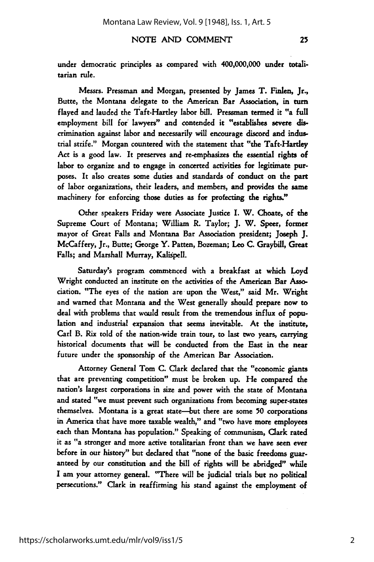### NOTE AND COMMENT

under democratic principles as compared with 400,000,000 under totalitarian rule.

Messrs. Pressman and Morgan, presented by James T. Finlen, Jr., Butte, the Montana delegate to the American Bar Association, in turn flayed and lauded the Taft-Hartley labor **bill.** Pressman termed it "a full employment bill **for** lawyers" and contended it "establishes severe discrinination against labor and necessarily will encourage discord and industrial strife." Morgan countered with the statement that "the Taft-Hartley Act is a good law. It preserves and re-emphasizes the essential rights of labor to organize and to engage in concerted activities for legitimate purposes. It also creates some duties and standards of conduct on the part of labor organizations, their leaders, and members, and provides the **same** machinery for enforcing those duties as for profecting the rights."

Other speakers Friday were Associate Justice I. W. Choate, of the Supreme Court of Montana; William R. Taylor; **J.** W. Speer, former mayor of Great Falls and Montana Bar Association president; Joseph **J.** McCaffery, Jr., Butte; George Y. Patten, Bozeman; Leo C. Graybill, Great Falls; and Marshall Murray, Kalispell.

Saturday's program commenced with a breakfast at which Loyd Wright conducted an institute on the activities of the American Bar Association. "The eyes of the nation are upon the West," said Mr. Wright and warned that Montana and the West generally should prepare now to deal with problems that would result from the tremendous influx of population and industrial expansion that seems inevitable. At the institute, Carl B. Rix told of the nation-wide train tour, to **last** two years, carrying historical documents that will be conducted from the East in the near future under the sponsorship of the American Bar Association.

Attorney General Tom C. Clark declared that the "economic giants that are preventing competition" must be broken up. He compared the nation's largest corporations in size and power with the state of Montana and stated "we must prevent such organizations from becoming super-states themselves. Montana is a great state-but there are some **50** corporations in America that have more taxable wealth," and "two have more employees each than Montana has population." Speaking of communism, Clark rated it as "a stronger and more active totalitarian front than we have seen ever before in our history" but declared that "none of the basic freedoms guar. anteed by our constitution and the bill of rights will be abridged" while I am your attorney general. "There **will** be judicial trials but no political persecutions." Clark in reaffirming his stand against the employment of